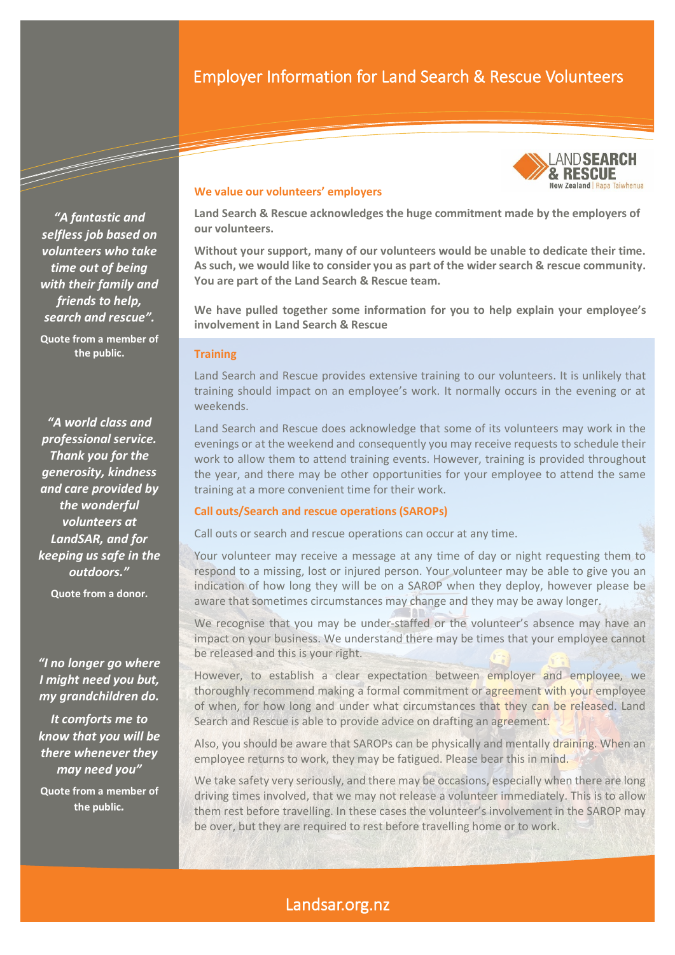# Employer Information for Land Search & Rescue Volunteers



*"A fantastic and selfless job based on volunteers who take time out of being with their family and friends to help, search and rescue".* **Quote from a member of the public.**

*"A world class and professional service. Thank you for the generosity, kindness and care provided by the wonderful volunteers at LandSAR, and for keeping us safe in the outdoors."*

**Quote from a donor***.*

## *"I no longer go where I might need you but, my grandchildren do.*

*It comforts me to know that you will be there whenever they may need you"*

**Quote from a member of the public***.*

## **We value our volunteers' employers**

**Land Search & Rescue acknowledges the huge commitment made by the employers of our volunteers.** 

**Without your support, many of our volunteers would be unable to dedicate their time. As such, we would like to consider you as part of the wider search & rescue community. You are part of the Land Search & Rescue team.** 

**We have pulled together some information for you to help explain your employee's involvement in Land Search & Rescue**

### **Training**

Land Search and Rescue provides extensive training to our volunteers. It is unlikely that training should impact on an employee's work. It normally occurs in the evening or at weekends.

Land Search and Rescue does acknowledge that some of its volunteers may work in the evenings or at the weekend and consequently you may receive requests to schedule their work to allow them to attend training events. However, training is provided throughout the year, and there may be other opportunities for your employee to attend the same training at a more convenient time for their work.

#### **Call outs/Search and rescue operations (SAROPs)**

Call outs or search and rescue operations can occur at any time.

Your volunteer may receive a message at any time of day or night requesting them to respond to a missing, lost or injured person. Your volunteer may be able to give you an indication of how long they will be on a SAROP when they deploy, however please be aware that sometimes circumstances may change and they may be away longer.

We recognise that you may be under-staffed or the volunteer's absence may have an impact on your business. We understand there may be times that your employee cannot be released and this is your right.

However, to establish a clear expectation between employer and employee, we thoroughly recommend making a formal commitment or agreement with your employee of when, for how long and under what circumstances that they can be released. Land Search and Rescue is able to provide advice on drafting an agreement.

Also, you should be aware that SAROPs can be physically and mentally draining. When an employee returns to work, they may be fatigued. Please bear this in mind.

We take safety very seriously, and there may be occasions, especially when there are long driving times involved, that we may not release a volunteer immediately. This is to allow them rest before travelling. In these cases the volunteer's involvement in the SAROP may be over, but they are required to rest before travelling home or to work.

## Landsar.org.nz